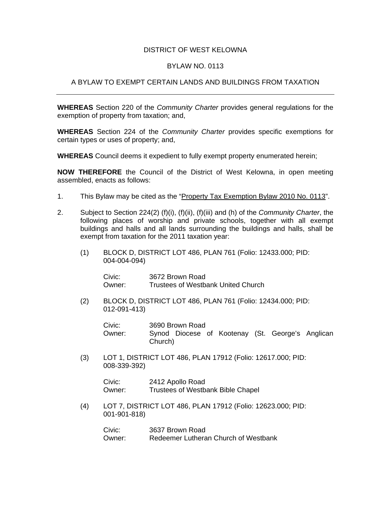## DISTRICT OF WEST KELOWNA

## BYLAW NO. 0113

## A BYLAW TO EXEMPT CERTAIN LANDS AND BUILDINGS FROM TAXATION

**WHEREAS** Section 220 of the *Community Charter* provides general regulations for the exemption of property from taxation; and,

**WHEREAS** Section 224 of the *Community Charter* provides specific exemptions for certain types or uses of property; and,

**WHEREAS** Council deems it expedient to fully exempt property enumerated herein;

**NOW THEREFORE** the Council of the District of West Kelowna, in open meeting assembled, enacts as follows:

- 1. This Bylaw may be cited as the "Property Tax Exemption Bylaw 2010 No. 0113".
- 2. Subject to Section 224(2) (f)(i), (f)(ii), (f)(iii) and (h) of the *Community Charter*, the following places of worship and private schools, together with all exempt buildings and halls and all lands surrounding the buildings and halls, shall be exempt from taxation for the 2011 taxation year:
	- (1) BLOCK D, DISTRICT LOT 486, PLAN 761 (Folio: 12433.000; PID: 004-004-094)

 Civic: 3672 Brown Road Owner: Trustees of Westbank United Church

(2) BLOCK D, DISTRICT LOT 486, PLAN 761 (Folio: 12434.000; PID: 012-091-413)

 Civic: 3690 Brown Road Owner: Synod Diocese of Kootenay (St. George's Anglican Church)

(3) LOT 1, DISTRICT LOT 486, PLAN 17912 (Folio: 12617.000; PID: 008-339-392)

> Civic: 2412 Apollo Road Owner: Trustees of Westbank Bible Chapel

 (4) LOT 7, DISTRICT LOT 486, PLAN 17912 (Folio: 12623.000; PID: 001-901-818)

> Civic: 3637 Brown Road Owner: Redeemer Lutheran Church of Westbank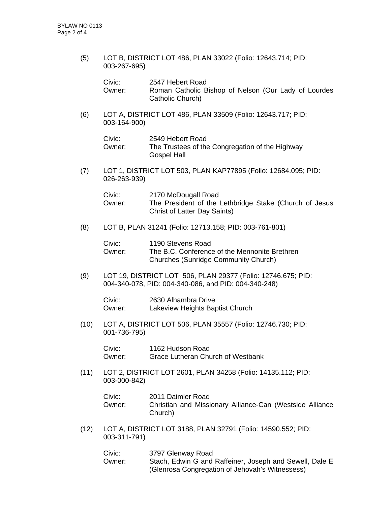(5) LOT B, DISTRICT LOT 486, PLAN 33022 (Folio: 12643.714; PID: 003-267-695)

| Civic:   | 2547 Hebert Road                                     |
|----------|------------------------------------------------------|
| Owner: . | Roman Catholic Bishop of Nelson (Our Lady of Lourdes |
|          | Catholic Church)                                     |

(6) LOT A, DISTRICT LOT 486, PLAN 33509 (Folio: 12643.717; PID: 003-164-900)

| Civic: | 2549 Hebert Road                                |
|--------|-------------------------------------------------|
| Owner: | The Trustees of the Congregation of the Highway |
|        | <b>Gospel Hall</b>                              |

(7) LOT 1, DISTRICT LOT 503, PLAN KAP77895 (Folio: 12684.095; PID: 026-263-939)

| Civic: | 2170 McDougall Road                                    |
|--------|--------------------------------------------------------|
| Owner: | The President of the Lethbridge Stake (Church of Jesus |
|        | <b>Christ of Latter Day Saints)</b>                    |

(8) LOT B, PLAN 31241 (Folio: 12713.158; PID: 003-761-801)

| Civic: | 1190 Stevens Road                             |
|--------|-----------------------------------------------|
| Owner: | The B.C. Conference of the Mennonite Brethren |
|        | <b>Churches (Sunridge Community Church)</b>   |

(9) LOT 19, DISTRICT LOT 506, PLAN 29377 (Folio: 12746.675; PID: 004-340-078, PID: 004-340-086, and PID: 004-340-248)

 Civic: 2630 Alhambra Drive Owner: Lakeview Heights Baptist Church

 (10) LOT A, DISTRICT LOT 506, PLAN 35557 (Folio: 12746.730; PID: 001-736-795)

> Civic: 1162 Hudson Road Owner: Grace Lutheran Church of Westbank

 (11) LOT 2, DISTRICT LOT 2601, PLAN 34258 (Folio: 14135.112; PID: 003-000-842)

| Civic: | 2011 Daimler Road                                                   |
|--------|---------------------------------------------------------------------|
| Owner: | Christian and Missionary Alliance-Can (Westside Alliance<br>Church) |
|        |                                                                     |

(12) LOT A, DISTRICT LOT 3188, PLAN 32791 (Folio: 14590.552; PID: 003-311-791)

| Civic:   | 3797 Glenway Road                                       |
|----------|---------------------------------------------------------|
| Owner: . | Stach, Edwin G and Raffeiner, Joseph and Sewell, Dale E |
|          | (Glenrosa Congregation of Jehovah's Witnessess)         |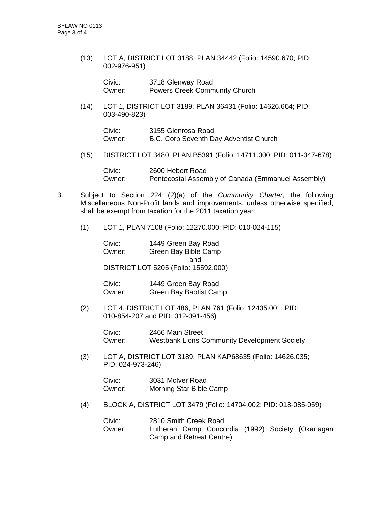(13) LOT A, DISTRICT LOT 3188, PLAN 34442 (Folio: 14590.670; PID: 002-976-951)

 Civic: 3718 Glenway Road Owner: Powers Creek Community Church

 (14) LOT 1, DISTRICT LOT 3189, PLAN 36431 (Folio: 14626.664; PID: 003-490-823)

 Civic: 3155 Glenrosa Road Owner: B.C. Corp Seventh Day Adventist Church

(15) DISTRICT LOT 3480, PLAN B5391 (Folio: 14711.000; PID: 011-347-678)

 Civic: 2600 Hebert Road Owner: Pentecostal Assembly of Canada (Emmanuel Assembly)

- 3. Subject to Section 224 (2)(a) of the *Community Charter*, the following Miscellaneous Non-Profit lands and improvements, unless otherwise specified, shall be exempt from taxation for the 2011 taxation year:
	- (1) LOT 1, PLAN 7108 (Folio: 12270.000; PID: 010-024-115)

 Civic: 1449 Green Bay Road Owner: Green Bay Bible Camp and DISTRICT LOT 5205 (Folio: 15592.000)

 Civic: 1449 Green Bay Road Owner: Green Bay Baptist Camp

(2) LOT 4, DISTRICT LOT 486, PLAN 761 (Folio: 12435.001; PID: 010-854-207 and PID: 012-091-456)

> Civic: 2466 Main Street Owner: Westbank Lions Community Development Society

(3) LOT A, DISTRICT LOT 3189, PLAN KAP68635 (Folio: 14626.035; PID: 024-973-246)

 Civic: 3031 McIver Road Owner: Morning Star Bible Camp

(4) BLOCK A, DISTRICT LOT 3479 (Folio: 14704.002; PID: 018-085-059)

| Civic:   | 2810 Smith Creek Road    |  |  |                                                  |
|----------|--------------------------|--|--|--------------------------------------------------|
| Owner: . |                          |  |  | Lutheran Camp Concordia (1992) Society (Okanagan |
|          | Camp and Retreat Centre) |  |  |                                                  |